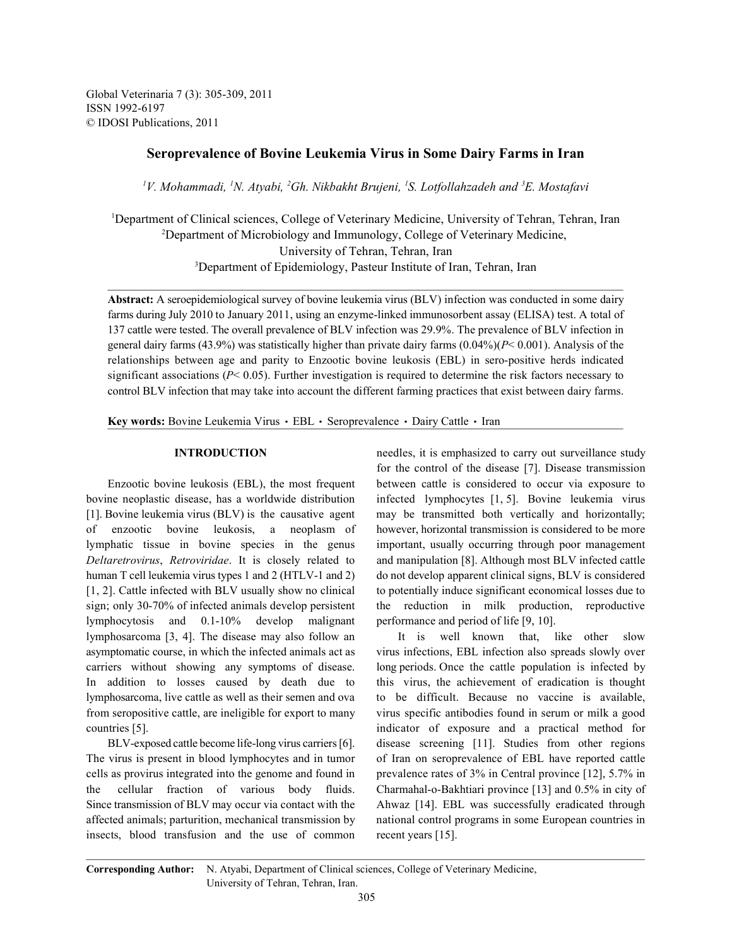Global Veterinaria 7 (3): 305-309, 2011 ISSN 1992-6197 © IDOSI Publications, 2011

# **Seroprevalence of Bovine Leukemia Virus in Some Dairy Farms in Iran**

<sup>1</sup>V. Mohammadi, <sup>1</sup>N. Atyabi, <sup>2</sup>Gh. Nikbakht Brujeni, <sup>1</sup>S. Lotfollahzadeh and <sup>3</sup>E. Mostafavi

<sup>1</sup>Department of Clinical sciences, College of Veterinary Medicine, University of Tehran, Tehran, Iran <sup>2</sup>Department of Microbiology and Immunology, College of Veterinary Medicine, University of Tehran, Tehran, Iran <sup>3</sup>Department of Epidemiology, Pasteur Institute of Iran, Tehran, Iran

**Abstract:** A seroepidemiological survey of bovine leukemia virus (BLV) infection was conducted in some dairy farms during July 2010 to January 2011, using an enzyme-linked immunosorbent assay (ELISA) test. A total of 137 cattle were tested. The overall prevalence of BLV infection was 29.9%. The prevalence of BLV infection in general dairy farms (43.9%) was statistically higher than private dairy farms (0.04%)(*P*< 0.001). Analysis of the relationships between age and parity to Enzootic bovine leukosis (EBL) in sero-positive herds indicated significant associations (*P*< 0.05). Further investigation is required to determine the risk factors necessary to control BLV infection that may take into account the different farming practices that exist between dairy farms.

Key words: Bovine Leukemia Virus · EBL · Seroprevalence · Dairy Cattle · Iran

bovine neoplastic disease, has a worldwide distribution infected lymphocytes [1, 5]. Bovine leukemia virus [1]. Bovine leukemia virus (BLV) is the causative agent may be transmitted both vertically and horizontally; of enzootic bovine leukosis, a neoplasm of however, horizontal transmission is considered to be more lymphatic tissue in bovine species in the genus important, usually occurring through poor management *Deltaretrovirus*, *Retroviridae*. It is closely related to and manipulation [8]. Although most BLV infected cattle human T cell leukemia virus types 1 and 2 (HTLV-1 and 2) do not develop apparent clinical signs, BLV is considered [1, 2]. Cattle infected with BLV usually show no clinical to potentially induce significant economical losses due to sign; only 30-70% of infected animals develop persistent the reduction in milk production, reproductive lymphocytosis and 0.1-10% develop malignant performance and period of life [9, 10]. lymphosarcoma [3, 4]. The disease may also follow an It is well known that, like other slow asymptomatic course, in which the infected animals act as virus infections, EBL infection also spreads slowly over carriers without showing any symptoms of disease. long periods. Once the cattle population is infected by In addition to losses caused by death due to this virus, the achievement of eradication is thought lymphosarcoma, live cattle as well as their semen and ova to be difficult. Because no vaccine is available, from seropositive cattle, are ineligible for export to many virus specific antibodies found in serum or milk a good countries [5]. indicator of exposure and a practical method for

The virus is present in blood lymphocytes and in tumor of Iran on seroprevalence of EBL have reported cattle cells as provirus integrated into the genome and found in prevalence rates of 3% in Central province [12], 5.7% in the cellular fraction of various body fluids. Charmahal-o-Bakhtiari province [13] and 0.5% in city of Since transmission of BLV may occur via contact with the Ahwaz [14]. EBL was successfully eradicated through affected animals; parturition, mechanical transmission by national control programs in some European countries in insects, blood transfusion and the use of common recent years [15].

**INTRODUCTION** needles, it is emphasized to carry out surveillance study Enzootic bovine leukosis (EBL), the most frequent between cattle is considered to occur via exposure to for the control of the disease [7]. Disease transmission

BLV-exposed cattle become life-long virus carriers [6]. disease screening [11]. Studies from other regions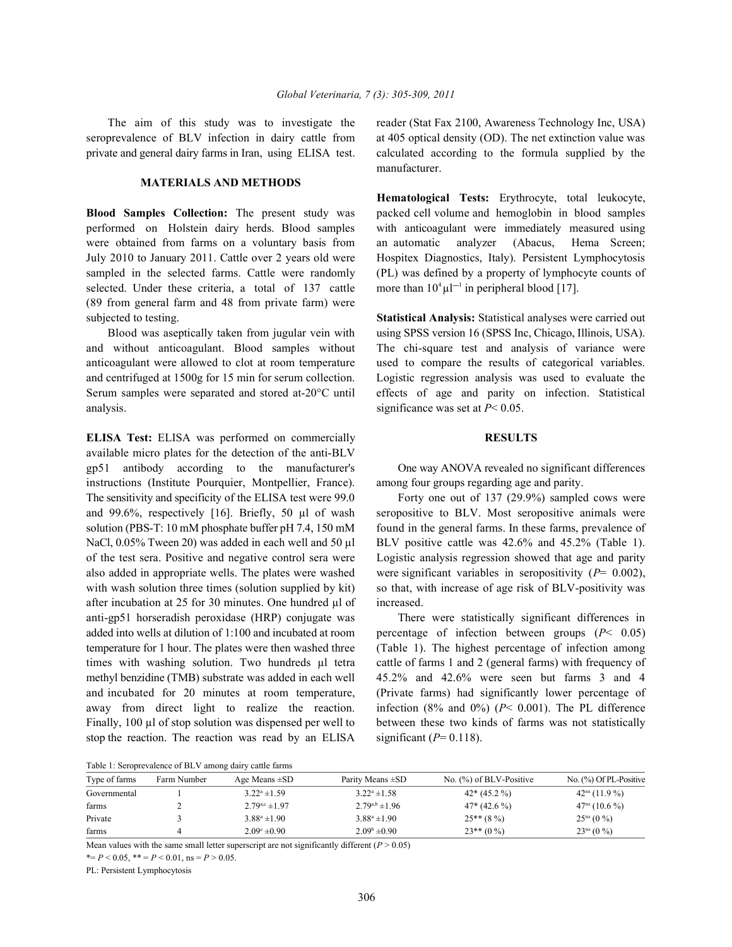seroprevalence of BLV infection in dairy cattle from at 405 optical density (OD). The net extinction value was private and general dairy farms in Iran, using ELISA test. calculated according to the formula supplied by the

## **MATERIALS AND METHODS**

performed on Holstein dairy herds. Blood samples with anticoagulant were immediately measured using were obtained from farms on a voluntary basis from an automatic analyzer (Abacus, Hema Screen; July 2010 to January 2011. Cattle over 2 years old were Hospitex Diagnostics, Italy). Persistent Lymphocytosis sampled in the selected farms. Cattle were randomly (PL) was defined by a property of lymphocyte counts of selected. Under these criteria, a total of 137 cattle (89 from general farm and 48 from private farm) were subjected to testing. **Statistical Analysis:** Statistical analyses were carried out

and without anticoagulant. Blood samples without The chi-square test and analysis of variance were anticoagulant were allowed to clot at room temperature used to compare the results of categorical variables. and centrifuged at 1500g for 15 min for serum collection. Logistic regression analysis was used to evaluate the Serum samples were separated and stored at-20°C until effects of age and parity on infection. Statistical analysis. significance was set at  $P < 0.05$ .

**ELISA Test:** ELISA was performed on commercially **RESULTS** available micro plates for the detection of the anti-BLV gp51 antibody according to the manufacturer's One way ANOVA revealed no significant differences instructions (Institute Pourquier, Montpellier, France). among four groups regarding age and parity. The sensitivity and specificity of the ELISA test were 99.0 Forty one out of 137 (29.9%) sampled cows were and 99.6%, respectively [16]. Briefly, 50 µl of wash seropositive to BLV. Most seropositive animals were solution (PBS-T: 10 mM phosphate buffer pH 7.4, 150 mM found in the general farms. In these farms, prevalence of NaCl, 0.05% Tween 20) was added in each well and 50 ul BLV positive cattle was 42.6% and 45.2% (Table 1). of the test sera. Positive and negative control sera were Logistic analysis regression showed that age and parity also added in appropriate wells. The plates were washed were significant variables in seropositivity (*P*= 0.002), with wash solution three times (solution supplied by kit) so that, with increase of age risk of BLV-positivity was after incubation at 25 for 30 minutes. One hundred µl of increased. anti-gp51 horseradish peroxidase (HRP) conjugate was There were statistically significant differences in added into wells at dilution of 1:100 and incubated at room percentage of infection between groups (*P*< 0.05) temperature for 1 hour. The plates were then washed three (Table 1). The highest percentage of infection among times with washing solution. Two hundreds µl tetra cattle of farms 1 and 2 (general farms) with frequency of methyl benzidine (TMB) substrate was added in each well 45.2% and 42.6% were seen but farms 3 and 4 and incubated for 20 minutes at room temperature, (Private farms) had significantly lower percentage of away from direct light to realize the reaction. infection (8% and 0%) (*P*< 0.001). The PL difference Finally, 100 µl of stop solution was dispensed per well to between these two kinds of farms was not statistically stop the reaction. The reaction was read by an ELISA significant  $(P= 0.118)$ .

The aim of this study was to investigate the reader (Stat Fax 2100, Awareness Technology Inc, USA) manufacturer.

**Blood Samples Collection:** The present study was packed cell volume and hemoglobin in blood samples **Hematological Tests:** Erythrocyte, total leukocyte, more than  $10^4 \mu l^{-1}$  in peripheral blood [17].

Blood was aseptically taken from jugular vein with using SPSS version 16 (SPSS Inc, Chicago, Illinois, USA).

Table 1: Seroprevalence of BLV among dairy cattle farms

| Type of farms<br>No. $(\%)$ of BLV-Positive<br>Age Means $\pm SD$<br>Parity Means $\pm SD$<br>Farm Number<br>$3.22^a \pm 1.58$<br>$3.22^a \pm 1.59$<br>$42*(45.2\%)$<br>$42^{\text{ns}}(11.9\%)$<br>Governmental<br>$2.79^{a,b} \pm 1.96$<br>$2.79^{a,c}$ ± 1.97<br>47 <sup>ns</sup> (10.6%)<br>$47*(42.6\%)$<br>farms | Tuble 1. Delopte rate to the big annong unit vehicle further |  |                   |                   |              |                                  |  |
|------------------------------------------------------------------------------------------------------------------------------------------------------------------------------------------------------------------------------------------------------------------------------------------------------------------------|--------------------------------------------------------------|--|-------------------|-------------------|--------------|----------------------------------|--|
|                                                                                                                                                                                                                                                                                                                        |                                                              |  |                   |                   |              | No. $\frac{9}{0}$ Of PL-Positive |  |
|                                                                                                                                                                                                                                                                                                                        |                                                              |  |                   |                   |              |                                  |  |
|                                                                                                                                                                                                                                                                                                                        |                                                              |  |                   |                   |              |                                  |  |
|                                                                                                                                                                                                                                                                                                                        | Private                                                      |  | $3.88^a \pm 1.90$ | $3.88^a \pm 1.90$ | $25**$ (8 %) | $25^{\text{ns}}$ (0 %)           |  |
| $2.09^{\rm b} \pm 0.90$<br>$23**$ (0 %)<br>$23^{\text{ns}}$ (0 %)<br>$2.09^{\circ} \pm 0.90$<br>farms                                                                                                                                                                                                                  |                                                              |  |                   |                   |              |                                  |  |

Mean values with the same small letter superscript are not significantly different  $(P > 0.05)$ 

 $* = P < 0.05$ ,  $* = P < 0.01$ , ns =  $P > 0.05$ .

PL: Persistent Lymphocytosis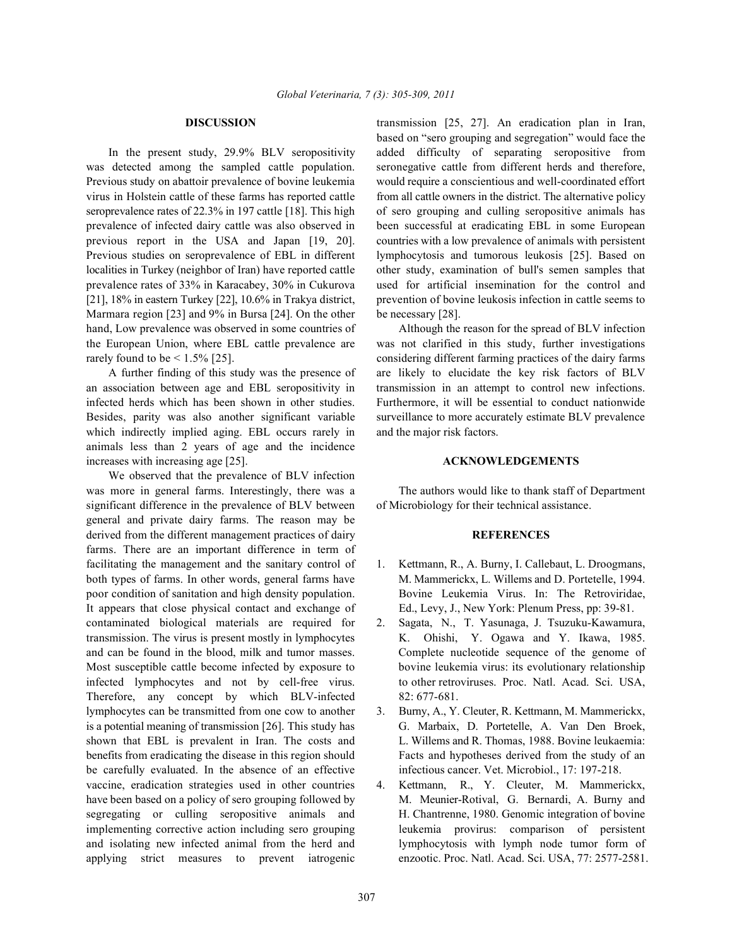was detected among the sampled cattle population. seronegative cattle from different herds and therefore, Previous study on abattoir prevalence of bovine leukemia would require a conscientious and well-coordinated effort virus in Holstein cattle of these farms has reported cattle from all cattle owners in the district. The alternative policy seroprevalence rates of 22.3% in 197 cattle [18]. This high of sero grouping and culling seropositive animals has prevalence of infected dairy cattle was also observed in been successful at eradicating EBL in some European previous report in the USA and Japan [19, 20]. countries with a low prevalence of animals with persistent Previous studies on seroprevalence of EBL in different lymphocytosis and tumorous leukosis [25]. Based on localities in Turkey (neighbor of Iran) have reported cattle other study, examination of bull's semen samples that prevalence rates of 33% in Karacabey, 30% in Cukurova used for artificial insemination for the control and [21], 18% in eastern Turkey [22], 10.6% in Trakya district, prevention of bovine leukosis infection in cattle seems to Marmara region [23] and 9% in Bursa [24]. On the other be necessary [28]. hand, Low prevalence was observed in some countries of Although the reason for the spread of BLV infection the European Union, where EBL cattle prevalence are was not clarified in this study, further investigations rarely found to be < 1.5% [25]. considering different farming practices of the dairy farms

an association between age and EBL seropositivity in transmission in an attempt to control new infections. infected herds which has been shown in other studies. Furthermore, it will be essential to conduct nationwide Besides, parity was also another significant variable surveillance to more accurately estimate BLV prevalence which indirectly implied aging. EBL occurs rarely in and the major risk factors. animals less than 2 years of age and the incidence increases with increasing age [25]. **ACKNOWLEDGEMENTS**

We observed that the prevalence of BLV infection was more in general farms. Interestingly, there was a The authors would like to thank staff of Department significant difference in the prevalence of BLV between of Microbiology for their technical assistance. general and private dairy farms. The reason may be derived from the different management practices of dairy **REFERENCES** farms. There are an important difference in term of facilitating the management and the sanitary control of 1. Kettmann, R., A. Burny, I. Callebaut, L. Droogmans, both types of farms. In other words, general farms have M. Mammerickx, L. Willems and D. Portetelle, 1994. poor condition of sanitation and high density population. Bovine Leukemia Virus. In: The Retroviridae, It appears that close physical contact and exchange of Ed., Levy, J., New York: Plenum Press, pp: 39-81. contaminated biological materials are required for 2. Sagata, N., T. Yasunaga, J. Tsuzuku-Kawamura, transmission. The virus is present mostly in lymphocytes K. Ohishi, Y. Ogawa and Y. Ikawa, 1985. and can be found in the blood, milk and tumor masses. Complete nucleotide sequence of the genome of Most susceptible cattle become infected by exposure to bovine leukemia virus: its evolutionary relationship infected lymphocytes and not by cell-free virus. to other retroviruses. Proc. Natl. Acad. Sci. USA, Therefore, any concept by which BLV-infected 82:677-681. lymphocytes can be transmitted from one cow to another 3. Burny, A., Y. Cleuter, R. Kettmann, M. Mammerickx, is a potential meaning of transmission [26]. This study has G. Marbaix, D. Portetelle, A. Van Den Broek, shown that EBL is prevalent in Iran. The costs and L. Willems and R. Thomas, 1988. Bovine leukaemia: benefits from eradicating the disease in this region should Facts and hypotheses derived from the study of an be carefully evaluated. In the absence of an effective infectious cancer. Vet. Microbiol., 17: 197-218. vaccine, eradication strategies used in other countries 4. Kettmann, R., Y. Cleuter, M. Mammerickx, have been based on a policy of sero grouping followed by M. Meunier-Rotival, G. Bernardi, A. Burny and segregating or culling seropositive animals and H. Chantrenne, 1980. Genomic integration of bovine implementing corrective action including sero grouping leukemia provirus: comparison of persistent and isolating new infected animal from the herd and lymphocytosis with lymph node tumor form of applying strict measures to prevent iatrogenic enzootic. Proc. Natl. Acad. Sci. USA, 77: 2577-2581.

**DISCUSSION** transmission [25, 27]. An eradication plan in Iran, In the present study, 29.9% BLV seropositivity added difficulty of separating seropositive from based on "sero grouping and segregation" would face the

A further finding of this study was the presence of are likely to elucidate the key risk factors of BLV

- 
- 
- 
-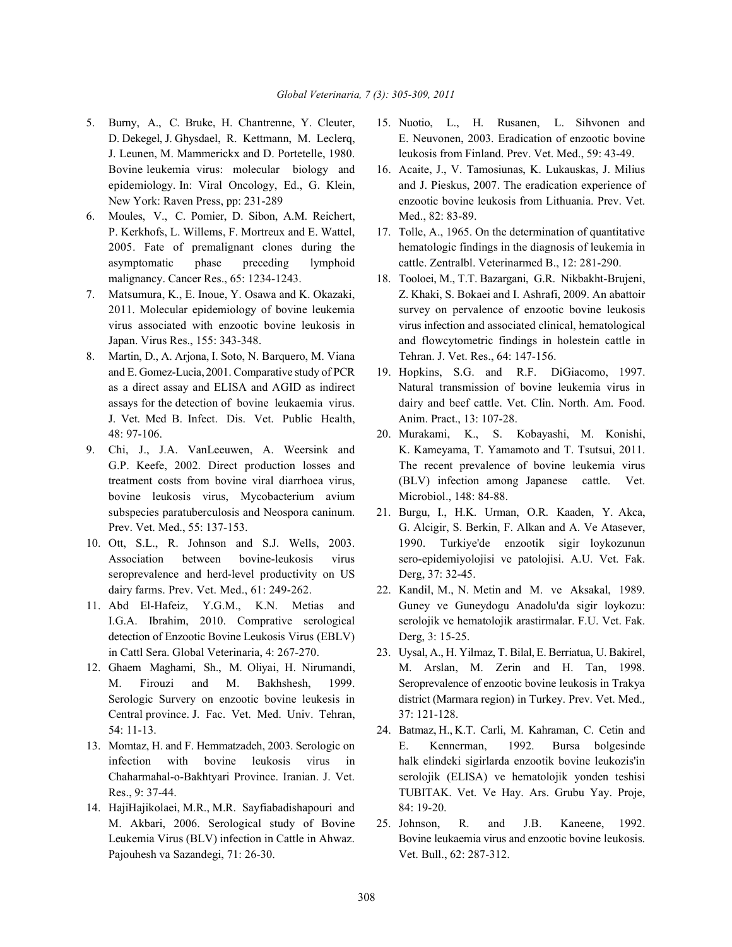- 
- 6. Moules, V., C. Pomier, D. Sibon, A.M. Reichert, Med., 82: 83-89. P. Kerkhofs, L. Willems, F. Mortreux and E. Wattel, 17. Tolle, A., 1965. On the determination of quantitative asymptomatic phase preceding lymphoid cattle. Zentralbl. Veterinarmed B., 12: 281-290. malignancy. Cancer Res., 65: 1234-1243. 18. Tooloei, M., T.T. Bazargani, G.R. Nikbakht-Brujeni,
- 
- 8. Martin, D., A. Arjona, I. Soto, N. Barquero, M. Viana Tehran. J. Vet. Res., 64: 147-156. J. Vet. Med B. Infect. Dis. Vet. Public Health, Anim. Pract., 13: 107-28. 48: 97-106. 20. Murakami, K., S. Kobayashi, M. Konishi,
- bovine leukosis virus, Mycobacterium avium Microbiol., 148: 84-88. subspecies paratuberculosis and Neospora caninum. 21. Burgu, I., H.K. Urman, O.R. Kaaden, Y. Akca,
- seroprevalence and herd-level productivity on US Derg, 37: 32-45. dairy farms. Prev. Vet. Med., 61: 249-262. 22. Kandil, M., N. Metin and M. ve Aksakal, 1989.
- detection of Enzootic Bovine Leukosis Virus (EBLV) Derg, 3: 15-25. in Cattl Sera. Global Veterinaria, 4: 267-270. 23. Uysal, A., H. Yilmaz, T. Bilal, E. Berriatua, U. Bakirel,
- Central province. J. Fac. Vet. Med. Univ. Tehran, 37: 121-128.
- 
- 14. HajiHajikolaei, M.R., M.R. Sayfiabadishapouri and 84: 19-20. M. Akbari, 2006. Serological study of Bovine 25. Johnson, R. and J.B. Kaneene, 1992. Pajouhesh va Sazandegi, 71: 26-30. Vet. Bull., 62: 287-312.
- 5. Burny, A., C. Bruke, H. Chantrenne, Y. Cleuter, 15. Nuotio, L., H. Rusanen, L. Sihvonen and D. Dekegel, J. Ghysdael, R. Kettmann, M. Leclerq, E. Neuvonen, 2003. Eradication of enzootic bovine J. Leunen, M. Mammerickx and D. Portetelle, 1980. leukosis from Finland. Prev. Vet. Med., 59: 43-49.
	- Bovine leukemia virus: molecular biology and 16. Acaite, J., V. Tamosiunas, K. Lukauskas, J. Milius epidemiology. In: Viral Oncology, Ed., G. Klein, and J. Pieskus, 2007. The eradication experience of New York: Raven Press, pp: 231-289 enzootic bovine leukosis from Lithuania. Prev. Vet.
	- 2005. Fate of premalignant clones during the hematologic findings in the diagnosis of leukemia in
- 7. Matsumura, K., E. Inoue, Y. Osawa and K. Okazaki, Z. Khaki, S. Bokaei and I. Ashrafi, 2009. An abattoir 2011. Molecular epidemiology of bovine leukemia survey on pervalence of enzootic bovine leukosis virus associated with enzootic bovine leukosis in virus infection and associated clinical, hematological Japan. Virus Res., 155: 343-348. and flowcytometric findings in holestein cattle in
	- and E. Gomez-Lucia, 2001. Comparative study of PCR 19. Hopkins, S.G. and R.F. DiGiacomo, 1997. as a direct assay and ELISA and AGID as indirect Natural transmission of bovine leukemia virus in assays for the detection of bovine leukaemia virus. dairy and beef cattle. Vet. Clin. North. Am. Food.
- 9. Chi, J., J.A. VanLeeuwen, A. Weersink and K. Kameyama, T. Yamamoto and T. Tsutsui, 2011. G.P. Keefe, 2002. Direct production losses and The recent prevalence of bovine leukemia virus treatment costs from bovine viral diarrhoea virus, (BLV) infection among Japanese cattle. Vet.
- Prev. Vet. Med., 55: 137-153. G. Alcigir, S. Berkin, F. Alkan and A. Ve Atasever, 10. Ott, S.L., R. Johnson and S.J. Wells, 2003. 1990. Turkiye'de enzootik sigir loykozunun Association between bovine-leukosis virus sero-epidemiyolojisi ve patolojisi. A.U. Vet. Fak.
- 11. Abd El-Hafeiz, Y.G.M., K.N. Metias and Guney ve Guneydogu Anadolu'da sigir loykozu: I.G.A. Ibrahim, 2010. Comprative serological serolojik ve hematolojik arastirmalar. F.U. Vet. Fak.
- 12. Ghaem Maghami, Sh., M. Oliyai, H. Nirumandi, M. Arslan, M. Zerin and H. Tan, 1998. M. Firouzi and M. Bakhshesh, 1999. Seroprevalence of enzootic bovine leukosis in Trakya Serologic Survery on enzootic bovine leukesis in district (Marmara region) in Turkey. Prev. Vet. Med.*,*
- 54: 11-13. 24. Batmaz, H., K.T. Carli, M. Kahraman, C. Cetin and 13. Momtaz, H. and F. Hemmatzadeh, 2003. Serologic on E. Kennerman, 1992. Bursa bolgesinde infection with bovine leukosis virus in halk elindeki sigirlarda enzootik bovine leukozis'in Chaharmahal-o-Bakhtyari Province. Iranian. J. Vet. serolojik (ELISA) ve hematolojik yonden teshisi Res., 9: 37-44. TUBITAK. Vet. Ve Hay. Ars. Grubu Yay. Proje,
	- Leukemia Virus (BLV) infection in Cattle in Ahwaz. Bovine leukaemia virus and enzootic bovine leukosis.